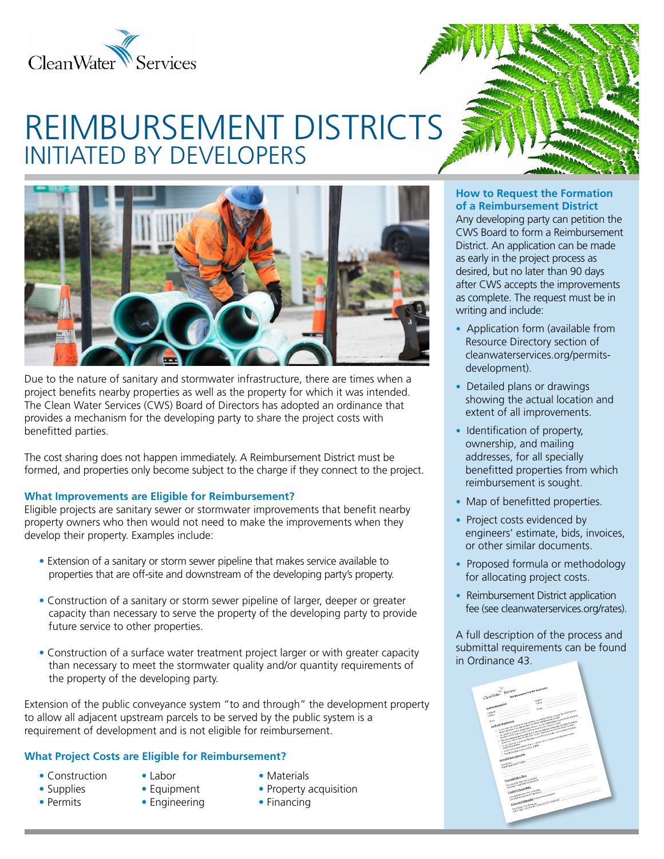

# REIMBURSEMENT DISTRICTS INITIATED BY DEVELOPERS



Due to the nature of sanitary and stormwater infrastructure, there are times when a project benefits nearby properties as well as the property for which it was intended. The Clean Water Services (CWS) Board of Directors has adopted an ordinance that provides a mechanism for the developing party to share the project costs with benefitted parties.

The cost sharing does not happen immediately. A Reimbursement District must be formed, and properties only become subject to the charge if they connect to the project.

### **What Improvements are Eligible for Reimbursement?**

Eligible projects are sanitary sewer or stormwater improvements that benefit nearby property owners who then would not need to make the improvements when they develop their property. Examples include:

- Extension of a sanitary or storm sewer pipeline that makes service available to properties that are off-site and downstream of the developing party's property.
- Construction of a sanitary or storm sewer pipeline of larger, deeper or greater capacity than necessary to serve the property of the developing party to provide future service to other properties.
- Construction of a surface water treatment project larger or with greater capacity than necessary to meet the stormwater quality and/or quantity requirements of the property of the developing party.

Extension of the public conveyance system "to and through" the development property to allow all adjacent upstream parcels to be served by the public system is a requirement of development and is not eligible for reimbursement.

## **What Project Costs are Eligible for Reimbursement?**

- Construction Labor Materials
- 
- 
- 
- 
- 
- Supplies Equipment Property acquisition
- Permits Engineering Financing

### **How to Request the Formation of a Reimbursement District**

Any developing party can petition the CWS Board to form a Reimbursement District. An application can be made as early in the project process as desired, but no later than 90 days after CWS accepts the improvements as complete. The request must be in writing and include:

- **•** Application form (available from Resource Directory section of cleanwaterservices.org/permitsdevelopment).
- **•** Detailed plans or drawings showing the actual location and extent of all improvements.
- **•** Identification of property, ownership, and mailing addresses, for all specially benefitted properties from which reimbursement is sought.
- Map of benefitted properties.
- Project costs evidenced by engineers' estimate, bids, invoices, or other similar documents.
- **•** Proposed formula or methodology for allocating project costs.
- Reimbursement District application fee (see cleanwaterservices.org/rates).

A full description of the process and submittal requirements can be found in Ordinance 43.